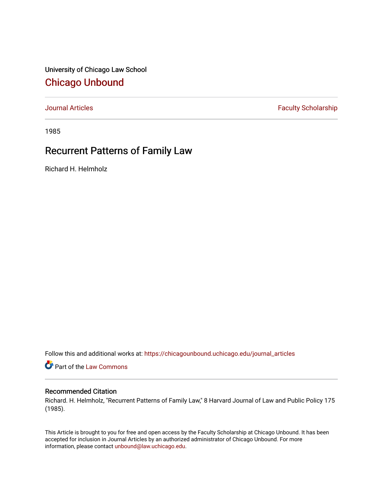University of Chicago Law School [Chicago Unbound](https://chicagounbound.uchicago.edu/)

[Journal Articles](https://chicagounbound.uchicago.edu/journal_articles) **Faculty Scholarship Faculty Scholarship** 

1985

# Recurrent Patterns of Family Law

Richard H. Helmholz

Follow this and additional works at: [https://chicagounbound.uchicago.edu/journal\\_articles](https://chicagounbound.uchicago.edu/journal_articles?utm_source=chicagounbound.uchicago.edu%2Fjournal_articles%2F1478&utm_medium=PDF&utm_campaign=PDFCoverPages) 

Part of the [Law Commons](http://network.bepress.com/hgg/discipline/578?utm_source=chicagounbound.uchicago.edu%2Fjournal_articles%2F1478&utm_medium=PDF&utm_campaign=PDFCoverPages)

### Recommended Citation

Richard. H. Helmholz, "Recurrent Patterns of Family Law," 8 Harvard Journal of Law and Public Policy 175 (1985).

This Article is brought to you for free and open access by the Faculty Scholarship at Chicago Unbound. It has been accepted for inclusion in Journal Articles by an authorized administrator of Chicago Unbound. For more information, please contact [unbound@law.uchicago.edu](mailto:unbound@law.uchicago.edu).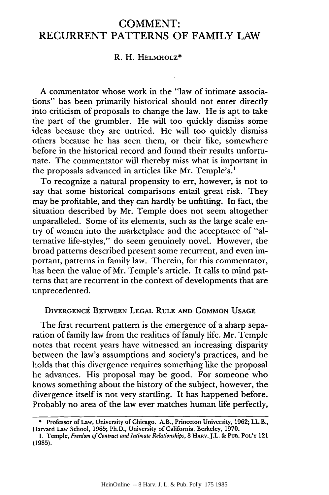## **COMMENT:** RECURRENT PATTERNS OF FAMILY LAW

#### R. H. HELMHOLZ\*

A commentator whose work in the "law of intimate associations" has been primarily historical should not enter directly into criticism of proposals to change the law. He is apt to take the part of the grumbler. He will too quickly dismiss some ideas because they are untried. He will too quickly dismiss others because he has seen them, or their like, somewhere before in the historical record and found their results unfortunate. The commentator will thereby miss what is important in the proposals advanced in articles like Mr. Temple's.<sup>1</sup>

To recognize a natural propensity to err, however, is not to say that some historical comparisons entail great risk. They may be profitable, and they can hardly be unfitting. In fact, the situation described by Mr. Temple does not seem altogether unparalleled. Some of its elements, such as the large scale entry of women into the marketplace and the acceptance of "alternative life-styles," do seem genuinely novel. However, the broad patterns described present some recurrent, and even important, patterns in family law. Therein, for this commentator, has been the value of Mr. Temple's article. It calls to mind patterns that are recurrent in the context of developments that are unprecedented.

#### DIVERGENCE BETWEEN LEGAL RULE AND COMMON USAGE

The first recurrent pattern is the emergence of a sharp separation of family law from the realities of family life. Mr. Temple notes that recent years have witnessed an increasing disparity between the law's assumptions and society's practices, and he holds that this divergence requires something like the proposal he advances. His proposal may be good. For someone who knows something about the history of the subject, however, the divergence itself is not very startling. It has happened before. Probably no area of the law ever matches human life perfectly,

**<sup>\*</sup>** Professor of Law, University of Chicago. A.B., Princeton University, 1962; LL.B., Harvard Law School, 1965; Ph.D., University of California, Berkeley, 1970.

**<sup>1.</sup>** Temple, *Freedom of Contract and Intimate Relationships,* 8 HARV.J.L. & **PUB. POL'Y** 121 **(1985).**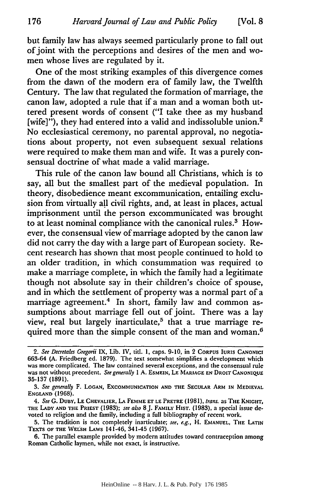but family law has always seemed particularly prone to fall out of joint with the perceptions and desires of the men and women whose lives are regulated by it.

One of the most striking examples of this divergence comes from the dawn of the modern era of family law, the Twelfth Century. The law that regulated the formation of marriage, the canon law, adopted a rule that if a man and a woman both uttered present words of consent ("I take thee as my husband [wife]"), they had entered into a valid and indissoluble union.<sup>2</sup> No ecclesiastical ceremony, no parental approval, no negotiations about property, not even subsequent sexual relations were required to make them man and wife. It was a purely consensual doctrine of what made a valid marriage.

This rule of the canon law bound all Christians, which is to say, all but the smallest part of the medieval population. In theory, disobedience meant excommunication, entailing exclusion from virtually all civil rights, and, at least in places, actual imprisonment until the person excommunicated was brought to at least nominal compliance with the canonical rules.<sup>3</sup> However, the consensual view of marriage adopted by the canon law did not carry the day with a large part of European society. Recent research has shown that most people continued to hold to an older tradition, in which consummation was required to make a marriage complete, in which the family had a legitimate though not absolute say in their children's choice of spouse, and in which the settlement of property was a normal part of a marriage agreement.<sup>4</sup> In short, family law and common assumptions about marriage fell out of joint. There was a lay view, real but largely inarticulate,<sup>5</sup> that a true marriage required more than the simple consent of the man and woman.<sup>6</sup>

*<sup>2.</sup> See Decretales Gregorii* IX, Lib. IV, titl. **1,** caps. **9-10,** in 2 **CORPUS IURIS CANONICI** 663-64 (A. Friedberg ed. 1879). The text somewhat simplifies a development which was more complicated. The law contained several exceptions, and the consensual rule was not without precedent. *See generally 1* A. EsMEIN, LE MARIAGE EN DROIT CANONIQUE 35-137 (1891).

*<sup>3.</sup> See generally* F. **LOGAN,** EXCOMMUNICATION AND THE **SECULAR** ARM IN MEDIEVAL **ENGLAND (1968).**

*<sup>4.</sup> See* G. **DuBY,** LE CHEVALIER, LA FEMME **ET** LE PRETRE **(1981),** *trans* as THE KNIGHT, THE LADY **AND** THE PRIEST **(1983);** *see also* **8J.** FAMILY HIST. **(1983),** a special issue **de**voted to religion and the family, including a full bibliography of recent work.

<sup>5.</sup> The tradition is not completely inarticulate; *see, e.g.,* H. EMANUEL, THE LATIN TEXTS OF THE WELSH LAws 141-46, 341-45 **(1967).**

<sup>6.</sup> The parallel example provided by modem attitudes toward contraception among Roman Catholic laymen, while not exact, is instructive.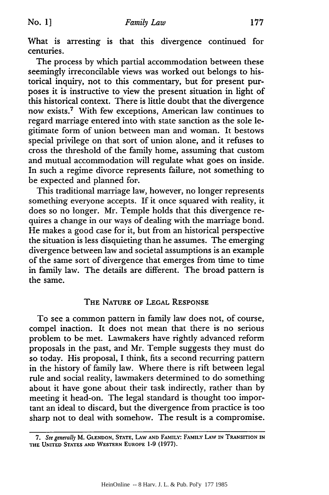What is arresting is that this divergence continued for centuries.

The process by which partial accommodation between these seemingly irreconcilable views was worked out belongs to historical inquiry, not to this commentary, but for present purposes it is instructive to view the present situation in light of this historical context. There is little doubt that the divergence now exists.7 With few exceptions, American law continues to regard marriage entered into with state sanction as the sole legitimate form of union between man and woman. It bestows special privilege on that sort of union alone, and it refuses to cross the threshold of the family home, assuming that custom and mutual accommodation will regulate what goes on inside. In such a regime divorce represents failure, not something to be expected and planned for.

This traditional marriage law, however, no longer represents something everyone accepts. If it once squared with reality, it does so no longer. Mr. Temple holds that this divergence requires a change in our ways of dealing with the marriage bond. He makes a good case for it, but from an historical perspective the situation is less disquieting than he assumes. The emerging divergence between law and societal assumptions is an example of the same sort of divergence that emerges from time to time in family law. The details are different. The broad pattern is the same.

#### THE NATURE OF LEGAL RESPONSE

To see a common pattern in family law does not, of course, compel inaction. It does not mean that there is no serious problem to be met. Lawmakers have rightly advanced reform proposals in the past, and Mr. Temple suggests they must do so today. His proposal, I think, fits a second recurring pattern in the history of family law. Where there is rift between legal rule and social reality, lawmakers determined to do something about it have gone about their task indirectly, rather than by meeting it head-on. The legal standard is thought too important an ideal to discard, but the divergence from practice is too sharp not to deal with somehow. The result is a compromise.

*<sup>7.</sup> See generally* M. **GLENDON, STATE, LAW AND FAMILY: FAMILY LAW IN TRANSITION IN THE UNITED STATES AND WESTERN EUROPE 1-9 (1977).**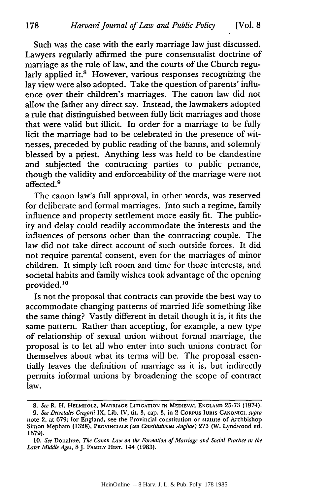Such was the case with the early marriage law just discussed. Lawyers regularly affirmed the pure consensualist doctrine of marriage as the rule of law, and the courts of the Church regularly applied it.<sup>8</sup> However, various responses recognizing the lay view were also adopted. Take the question of parents' influence over their children's marriages. The canon law did not allow the father any direct say. Instead, the lawmakers adopted a rule that distinguished between fully licit marriages and those that were valid but illicit. In order for a marriage to be fully licit the marriage had to be celebrated in the presence of witnesses, preceded by public reading of the banns, and solemnly blessed by a priest. Anything less was held to be clandestine and subjected the contracting parties to public penance, though the validity and enforceability of the marriage were not affected.<sup>9</sup>

The canon law's full approval, in other words, was reserved for deliberate and formal marriages. Into such a regime, family influence and property settlement more easily fit. The publicity and delay could readily accommodate the interests and the influences of persons other than the contracting couple. The law did not take direct account of such outside forces. It did not require parental consent, even for the marriages of minor children. It simply left room and time for those interests, and societal habits and family wishes took advantage of the opening provided.'o

Is not the proposal that contracts can provide the best way to accommodate changing patterns of married life something like the same thing? Vastly different in detail though it is, it fits the same pattern. Rather than accepting, for example, a new type of relationship of sexual union without formal marriage, the proposal is to let all who enter into such unions contract for themselves about what its terms will be. The proposal essentially leaves the definition of marriage as it is, but indirectly permits informal unions by broadening the scope of contract law.

*<sup>8.</sup> See* R. H. **HELMHOLZ, MARRIAGE LITIGATION IN MEDIEVAL ENGLAND** 25-73 (1974). 9. *See Decretales Gregorii* IX, Lib. IV, tit. 3, cap. 3, in 2 **CORPUS IURIS CANONICI.** *supra*

note 2, at 679; for England, see the Provincial constitution or statute of Archbishop Simon Mepham (1328), PROVINCIALE *(seu Constitutiones Angliae)* 273 (W. Lyndwood **ed.** 1679).

<sup>10.</sup> See Donahue, The Canon Law on the Formation of Marriage and Social Practice in the *Later Middle Ages,* 8J. **FAMILY HIsT.** 144 (1983).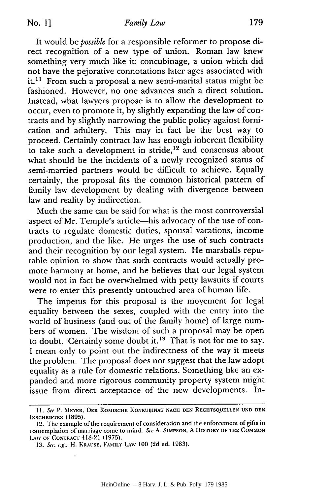It would be *possible* for a responsible reformer to propose direct recognition of a new type of union. Roman law knew something very much like it: concubinage, a union which did not have the pejorative connotations later ages associated with it.<sup>11</sup> From such a proposal a new semi-marital status might be fashioned. However, no one advances such a direct solution. Instead, what lawyers propose is to allow the development to occur, even to promote it, by slightly expanding the law of contracts and by slightly narrowing the public policy against fornication and adultery. This may in fact be the best way to proceed. Certainly contract law has enough inherent flexibility to take such a development in stride,<sup>12</sup> and consensus about what should be the incidents of a newly recognized status of semi-married partners would be difficult to achieve. Equally certainly, the proposal fits the common historical pattern of family law development by dealing with divergence between law and reality by indirection.

Much the same can be said for what is the most controversial aspect of Mr. Temple's article-his advocacy of the use of contracts to regulate domestic duties, spousal vacations, income production, and the like. He urges the use of such contracts and their recognition by our legal system. He marshalls reputable opinion to show that such contracts would actually promote harmony at home, and he believes that our legal system would not in fact be overwhelmed with petty lawsuits if courts were to enter this presently untouched area of human life.

The impetus for this proposal is the movement for legal equality between the sexes, coupled with the entry into the world of business (and out of the family home) of large numbers of women. The wisdom of such a proposal may be open to doubt. Certainly some doubt it.<sup>13</sup> That is not for me to say. I mean only to point out the indirectness of the way it meets the problem. The proposal does not suggest that the law adopt equality as a rule for domestic relations. Something like an expanded and more rigorous community property system might issue from direct acceptance of the new developments. In-

**<sup>11.</sup>** See P. **MEYER. DER** ROMISCHE KONKUBINAT **NACH DEN RECHTSQUELLEN UND DEN INSCHRIFIEN** (1895).

<sup>12.</sup> The example of the requirement of consideration and the enforcement of gifts in (onteniflation of marriage come to mind. See **A. SIMPSON,** A HISTORY OF THE COMMON L,%%V **OF CONTRACT** 418-21 **(1975).**

*<sup>13.</sup>* Soe. e.g.. H. KRAVSE. **FAMILY** LAW 100 (2d ed. 1983).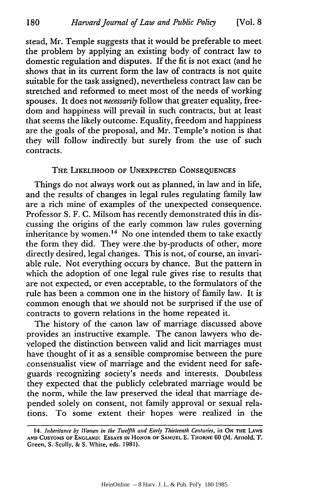180

stead, Mr. Temple suggests that it would be preferable to meet the problem by applying an existing body of contract law to domestic regulation and disputes. If the fit is not exact (and he shows that in its current form the law of contracts is not quite suitable for the task assigned), nevertheless contract law can be stretched and reformed to meet most of the needs of working spouses. It does not *necessarily* follow that greater equality, freedom and happiness will prevail in such contracts, but at least that seems the likely outcome. Equality, freedom and happiness are the goals of the proposal, and Mr. Temple's notion is that they will follow indirectly but surely from the use of such contracts.

#### THE LIKELIHOOD **OF UNEXPECTED CONSEQUENCES**

Things do not always work out as planned, in law and in life, and the results of changes in legal rules regulating family law are a rich mine of examples of the unexpected consequence. Professor S. F. C. Milsom has recently demonstrated this in discussing the origins of the early common law rules governing inheritance by women.<sup>14</sup> No one intended them to take exactly the form they did. They were .the by-products of other, more directly desired, legal changes. This is not, of course, an invariable rule. Not everything occurs by chance. But the pattern in which the adoption of one legal rule gives rise to results that are not expected, or even acceptable, to the formulators of the rule has been a common one in the history of family law. It is common enough that we should not be surprised if the use of contracts to govern relations in the home repeated it.

The history of the canon law of marriage discussed above provides an instructive example. The canon lawyers who developed the distinction between valid and licit marriages must have thought of it as a sensible compromise between the pure consensualist view of marriage and the evident need for safeguards recognizing society's needs and interests. Doubtless they expected that the publicly celebrated marriage would be the norm, while the law preserved the ideal that marriage depended solely on consent, not family approval or sexual relations. To some extent their hopes were realized in the

**<sup>14.</sup>** *Inheritance by Women in the Twelfth and Early Thirteenth Centuries,* in **ON TlE** LAWS **AND CUSTOMS OF ENGLAND: ESSAYS IN HONOR OF SAMUEL E. THORNE 60 (M.** Arnold, **T.** Green, **S.** Scully, **& S.** White, eds. **1981).**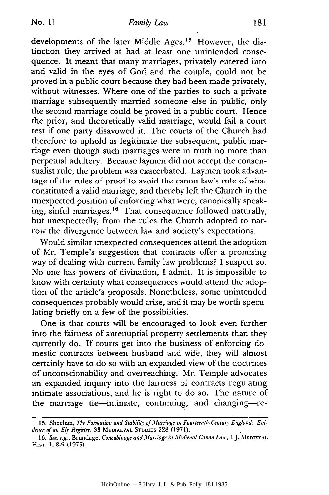developments of the later Middle Ages.<sup>15</sup> However, the distinction they arrived at had at least one unintended consequence. It meant that many marriages, privately entered into and valid in the eyes of God and the couple, could not be proved in a public court because they had been made privately, without witnesses. Where one of the parties to such a private marriage subsequently married someone else in public, only the second marriage could be proved in a public court. Hence the prior, and theoretically valid marriage, would fail a court test if one party disavowed it. The courts of the Church had therefore to uphold as legitimate the subsequent, public marriage even though such marriages were in truth no more than perpetual adultery. Because laymen did not accept the consensualist rule, the problem was exacerbated. Laymen took advantage of the rules of proof to avoid the canon law's rule of what constituted a valid marriage, and thereby left the Church in the unexpected position of enforcing what were, canonically speaking, sinful marriages.<sup>16</sup> That consequence followed naturally, but unexpectedly, from the rules the Church adopted to narrow the divergence between law and society's expectations.

Would similar unexpected consequences attend the adoption of Mr. Temple's suggestion that contracts offer a promising way of dealing with current family law problems? I suspect so. No one has powers of divination, I admit. It is impossible to know with certainty what consequences would attend the adoption of the article's proposals. Nonetheless, some unintended consequences probably would arise, and it may be worth speculating briefly on a few of the possibilities.

One is that courts will be encouraged to look even further into the fairness of antenuptial property settlements than they currently do. If courts get into the business of enforcing domestic contracts between husband and wife, they will almost certainly have to do so with an expanded view of the doctrines of unconscionability and overreaching. Mr. Temple advocates an expanded inquiry into the fairness of contracts regulating intimate associations, and he is right to do so. The nature of the marriage tie-intimate, continuing, and changing-re-

**<sup>15.</sup>** Sheehan, The Formation and *Stability* of .1arriage in Fourteenth-Century England: *Evidence* of an *Ely* Register, 33 **MEDIAEVAL STUDIES** 228 (1971).

**<sup>16.</sup>** See. e.g., Brundage, *Concubinage* and .Marriage in ledieval *Canon* Law, *IJ.* **MEDIEVAL** HisT. 1. 8-9 (1975).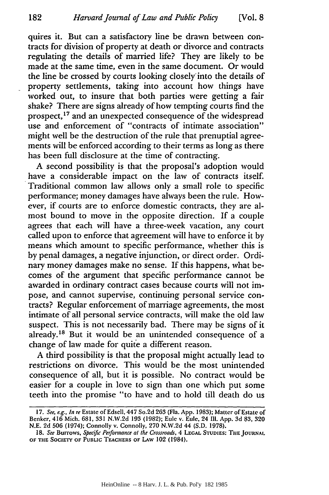quires it. But can a satisfactory line be drawn between contracts for division of property at death or divorce and contracts regulating the details of married life? They are likely to be made at the same time, even in the same document. Or would the line be crossed by courts looking closely'into the details of property settlements, taking into account how things have worked out, to insure that both parties were getting a fair shake? There are signs already of how tempting courts find the prospect, 17 and an unexpected consequence of the widespread use and enforcement of "contracts of intimate association" might well be the destruction of the rule that prenuptial agreements will be enforced according to their terms as long as there has been full disclosure at the time of contracting.

A second possibility is that the proposal's adoption would have a considerable impact on the law of contracts itself. Traditional common law allows only a small role to specific performance; money damages have always been the rule. However, if courts are to enforce domestic contracts, they are almost bound to move in the opposite direction. If a couple agrees that each will have a three-week vacation, any court called upon to enforce that agreement will have to enforce it by means which amount to specific performance, whether this is by penal damages, a negative injunction, or direct order. Ordinary money damages make no sense. If this happens, what becomes of the argument that specific performance cannot be awarded in ordinary contract cases because courts will not impose, and cannot supervise, continuing personal service contracts? Regular enforcement of marriage agreements, the most intimate of all personal service contracts, will make the old law suspect. This is not necessarily bad. There may be signs of it already.<sup>18</sup> But it would be an unintended consequence of a change of law made for quite a different reason.

A third possibility is that the proposal might actually lead to restrictions on divorce. This would be the most unintended consequence of all, but it is possible. No contract would be easier for a couple in love to sign than one which put some teeth into the promise "to have and to hold till death do us

**<sup>17.</sup>** *See, e.g., In re* Estate of Edsell, 447 So.2d **263** (Fla. App. **1983);** Matter of **Estate** of Benker, 416 Mich. 681, 331 N.W.2d 193 (1982); Eule v. Eule. 24 **Il1.** App. 3d 83, 320 N.E. 2d **506** (1974); Connolly v. Connolly, 270 N.W.2d 44 (S.D. 1978).

<sup>18.</sup> See Burrows, Specific Performance at the Crossroads, 4 LEGAL STUDIES: THE JOURNAL **OF THE SOCIETY OF** PUBLIC **TEACHERS OF LAW** 102 (1984).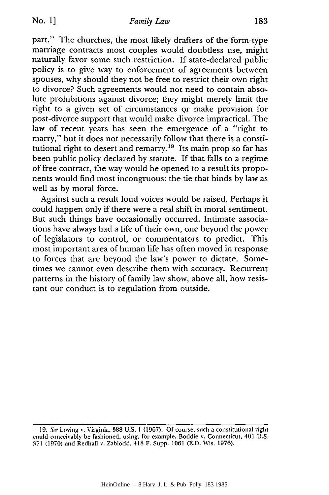part." The churches, the most likely drafters of the form-type marriage contracts most couples would doubtless use, might naturally favor some such restriction. If state-declared public policy is to give way to enforcement of agreements between spouses, why should they not be free to restrict their own right to divorce? Such agreements would not need to contain absolute prohibitions against divorce; they might merely limit the right to a given set of circumstances or make provision for post-divorce support that would make divorce impractical. The law of recent years has seen the emergence of a "right to marry," but it does not necessarily follow that there is a constitutional right to desert and remarry.<sup>19</sup> Its main prop so far has been public policy declared by statute. If that falls to a regime of free contract, the way would be opened to a result its proponents would find most incongruous: the tie that binds by law as well as by moral force.

Against such a result loud voices would be raised. Perhaps it could happen only if there were a real shift in moral sentiment. But such things have occasionally occurred. Intimate associations have always had a life of their own, one beyond the power of legislators to control, or commentators to predict. This most important area of human life has often moved in response to forces that are beyond the law's power to dictate. Sometimes we cannot even describe them with accuracy. Recurrent patterns in the history of family law show, above all, how resistant our conduct is to regulation from outside.

<sup>19.</sup> See Loving v. Virginia. 388 U.S. 1 (1967). Of course, such a constitutional right could conceivably be fashioned, using. for example. Boddie v. Connecticut, 401 U.S. **371** (1970) and Redhall v. Zablocki, 418 F. Supp. 1061 (E.D. Wis. 1976).